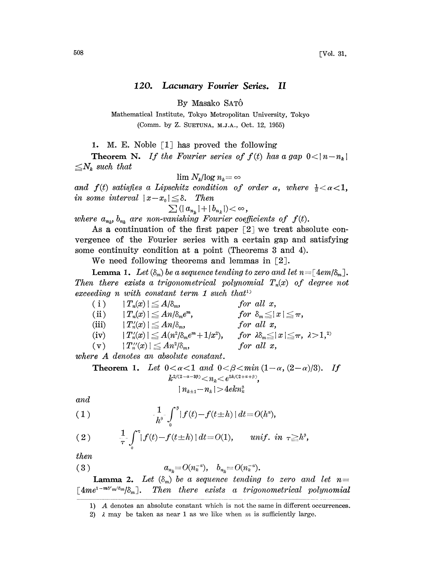## 120. Lacunary Fourier Series. II

By Masako SAT6

Mathematical Institute, Tokyo Metropolitan University, Tokyo (Comm. by Z. SUETUNA, M.J.A., Oct. 12, 1955)

1. M. E. Noble  $\lceil 1 \rceil$  has proved the following

**Theorem N.** If the Fourier series of  $f(t)$  has a gap  $0 < |n-n_k|$  $\leq N_k$  such that

$$
\lim N_k/\!\log n_k\!=\!\infty
$$

and  $f(t)$  satisfies a Lipschitz condition of order  $\alpha$ , where  $\frac{1}{2} < \alpha < 1$ , in some interval  $|x-x_0| \leq \delta$ . Then

 $\sum (|a_{n_k}|+|b_{n_k}|)<\infty,$ 

where  $a_{n_k}$ ,  $b_{n_k}$  are non-vanishing Fourier coefficients of  $f(t)$ .

As a continuation of the first paper  $\lceil 2 \rceil$  we treat absolute convergence of the Fourier series with a certain gap and satisfying some continuity condition at a point (Theorems 3 and 4).

We need following theorems and lemmas in  $\lceil 2 \rceil$ .

**Lemma 1.** Let  $(\delta_m)$  be a sequence tending to zero and let  $n = \lceil 4em/\delta_m \rceil$ . Then there exists a trigonometrical polynomial  $T_n(x)$  of degree not exceeding n with constant term 1 such that<sup>1)</sup>

( i )  $|T_n(x)| \leq A/\delta_m$ , for all x, (ii)  $|T_n(x)| \leq An/\delta_m e^m$ , for  $\delta_m \leq |x| \leq \pi$ ,<br>(iii)  $|T'_n(x)| \leq An/\delta_m$ , for all x, (iii)  $|T_n'(x)| \leq An/\delta_m,$ (iv)  $|T'_n(x)| \leq A(n^2/\delta_m e^m + 1/x^2)$ , for  $\lambda \delta_m \leq |x| \leq \pi$ ,  $\lambda > 1$ ,<sup>2)</sup><br>(v)  $|T''_n(x)| \leq An^2/\delta_m$ , for all x,  $(v)$   $|T''_n(x)| \leq An^2/\delta_m,$ 

where A denotes an absolute constant.

**Theorem 1.** Let 
$$
0 < \alpha < 1
$$
 and  $0 < \beta < \min(1-\alpha, (2-\alpha)/3)$ . If  $k^{2/(2-\alpha-3\beta)} < n_k < e^{2k/(2+\alpha+\beta)}$ ,  $|n_{k+1}-n_k| > 4ekn_k^{\beta}$ 

and

(1) 
$$
\frac{1}{h^s} \int_0^{\beta} |f(t) - f(t \pm h)| dt = O(h^a),
$$

(2) 
$$
\frac{1}{\tau} \int_{0}^{\tau} |f(t) - f(t \pm h)| dt = O(1), \quad \text{unif. in } \tau \geq h^{\beta},
$$

then

$$
(3) \t a_{n_k}=O(n_k^{-\alpha}), \t b_{n_k}=O(n_k^{-\alpha}).
$$

**Lamma 2.** Let  $(\delta_m)$  be a sequence tending to zero and let  $n=$  $\lceil 4me^{1-m\delta' m/\delta_m}/\delta_m \rceil$ . Then there exists a trigonometrical polynomial

<sup>1)</sup> A denotes an absolute constant which is not the same in different occurrences.

<sup>2)</sup>  $\lambda$  may be taken as near 1 as we like when m is sufficiently large.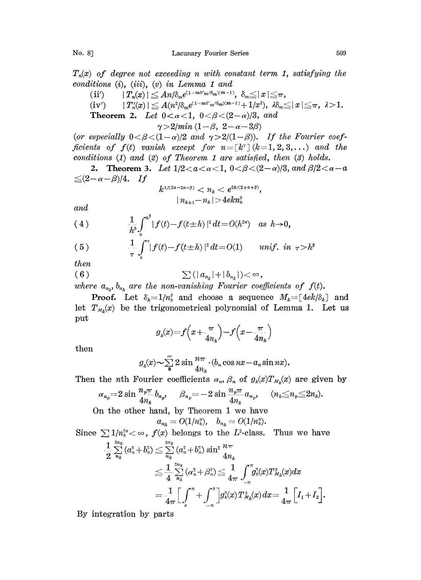$T_n(x)$  of degree not exceeding n with constant term 1, satisfying the  $conditions (i), (iii), (v) in Lemma 1 and$ 

 $\begin{array}{lll} \Pi'(i^{\prime}) & & |T_n(x)| \leq A n / \delta_m e^{(1-m\delta' m/\delta_m)(m-1)}, \; \delta_m \leq |x| \leq \pi, \ \Pi'(i^{\prime}) & & |T_n'(x)| \leq A (n^2 / \delta_m e^{(1-m\delta' m/\delta_m)(m-1)} + 1/x^2), \; \lambda \delta_m \leq \pi. \end{array}$  $\left|\,T''_n\!(x)\,\right|\leq A(n^2/\delta_m e^{(1-m\delta' m/\delta_m)(m-1)}+1/x^2),\,\,\lambda\delta_m\!\leq\!|x|\!\leq\!\pi,\,\,\lambda\!>\!1.$ **Theorem 2.** Let  $0 < \alpha < 1$ ,  $0 < \beta < (2-\alpha)/3$ , and  $\gamma > 2/min (1-\beta, 2-\alpha-3\beta)$ 

(or especially  $0 < \beta < (1-\alpha)/2$  and  $\gamma > 2/(1-\beta)$ ). If the Fourier coefficients of  $f(t)$  vanish except for  $n = [k^r] (k=1, 2, 3,...)$  and the conditions (1) and (2) of Theorem <sup>1</sup> are satisfied, then (3) holds.

2. Theorem 3. Let  $1/2 < a < a < 1$ ,  $0 < \beta < (2-\alpha)/3$ , and  $\beta/2 < a-a$  $\leq (2-\alpha-\beta)/4$ . If

$$
k^{1/(2a-2a-\beta)} < n_k < e^{2k/(2+a+\beta)},
$$
\n
$$
|n_{k+1}-n_k| > 4ekn_k^{\beta}
$$

and

(4) 
$$
\frac{1}{h^{\tilde{\theta}}} \int_0^{h^{\tilde{\theta}}} |f(t) - f(t \pm h)|^2 dt = O(h^{2\alpha}) \text{ as } h \to 0,
$$

(5) 
$$
\frac{1}{\tau} \int_0^{\tau} |f(t) - f(t \pm h)|^2 dt = O(1) \quad \text{unif. in } \tau > h^{\beta}
$$
  
then  
(6) 
$$
\sum (|a_{n_k}| + |b_{n_k}|) < \infty,
$$

then

$$
(6) \qquad \qquad \sum (|a_{n_k}|+|b_{n_k}|)<\infty,
$$

where  $a_{n_k}$ ,  $b_{n_k}$  are the non-vanishing Fourier coefficients of  $f(t)$ .

**Proof.** Let  $\delta_k = 1/n_k^{\beta}$  and choose a sequence  $M_k = [4ek/\delta_k]$  and let  $T_{M_k}(x)$  be the trigonometrical polynomial of Lemma 1. Let us pu

$$
g_{\rm a}(x) \!=\! f\Big(x\!+\!\frac{\pi}{4n_{\rm a}}\Big)\!-\! f\Big(x\!-\!\frac{\pi}{4n_{\rm a}}\Big)
$$

then

$$
g_{\lambda}(x) \sim \sum_{\mathbf{0}}^{\infty} 2 \sin \frac{n\pi}{4n_{\lambda}} \cdot (b_n \cos nx - a_n \sin nx).
$$

Then the *n*th Fourier coefficients  $\alpha_n$ ,  $\beta_n$  of  $g_k(x)T_{M_k}(x)$  are given by

$$
\alpha_{n_p} = 2 \sin \frac{n_p \pi}{4n_k} b_{n_p}, \quad \beta_{n_p} = -2 \sin \frac{n_p \pi}{4n_k} a_{n_p}, \quad (n_k \leq n_p \leq 2n_k).
$$
  
On the other hand, by Theorem 1 we have

 $a_{n_k} = O(1/n_k^a), \quad b_{n_k} = O(1/n_k^a).$ 

Since 
$$
\sum 1/n_k^{2\alpha} < \infty
$$
,  $f(x)$  belongs to the  $L^2$ -class. Thus we have\n
$$
\frac{1}{2} \sum_{n_k}^{2n_k} (a_n^2 + b_n^2) \leq \sum_{n_k}^{2n_k} (a_n^2 + b_n^2) \sin^2 \frac{n\pi}{4n_k}
$$
\n
$$
\leq \frac{1}{4} \sum_{n_k}^{2n_k} (\alpha_n^2 + \beta_n^2) \leq \frac{1}{4\pi} \int_{-\pi}^{\pi} g_k^2(x) T_{M_k}^2(x) dx
$$
\n
$$
= \frac{1}{4\pi} \Big[ \int_0^{\pi} + \int_{-\pi}^0 \Big] g_k^2(x) T_{M_k}^2(x) dx = \frac{1}{4\pi} \Big[ I_1 + I_2 \Big].
$$

By integration by parts